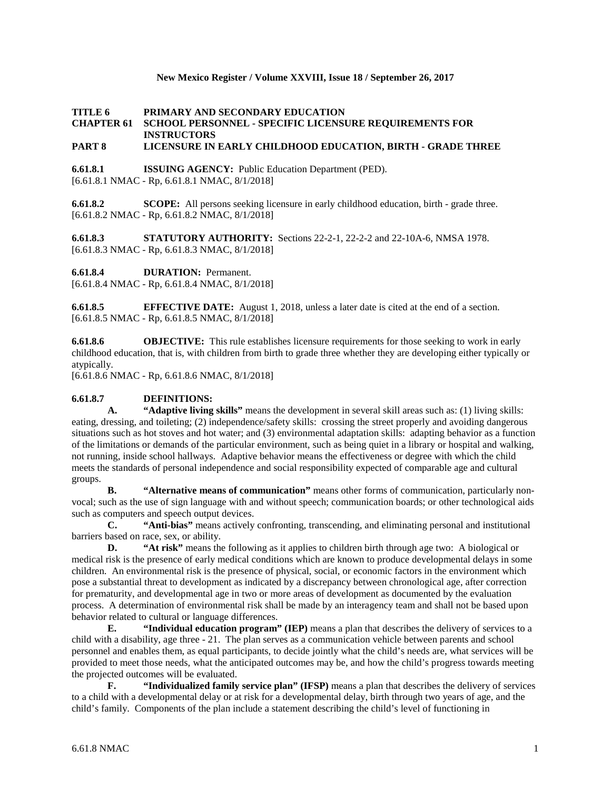## **New Mexico Register / Volume XXVIII, Issue 18 / September 26, 2017**

## **TITLE 6 PRIMARY AND SECONDARY EDUCATION CHAPTER 61 SCHOOL PERSONNEL - SPECIFIC LICENSURE REQUIREMENTS FOR INSTRUCTORS**

# **PART 8 LICENSURE IN EARLY CHILDHOOD EDUCATION, BIRTH - GRADE THREE**

**6.61.8.1 ISSUING AGENCY:** Public Education Department (PED). [6.61.8.1 NMAC - Rp, 6.61.8.1 NMAC, 8/1/2018]

**6.61.8.2 SCOPE:** All persons seeking licensure in early childhood education, birth - grade three. [6.61.8.2 NMAC - Rp, 6.61.8.2 NMAC, 8/1/2018]

**6.61.8.3 STATUTORY AUTHORITY:** Sections 22-2-1, 22-2-2 and 22-10A-6, NMSA 1978. [6.61.8.3 NMAC - Rp, 6.61.8.3 NMAC, 8/1/2018]

**6.61.8.4 DURATION:** Permanent.

[6.61.8.4 NMAC - Rp, 6.61.8.4 NMAC, 8/1/2018]

**6.61.8.5 EFFECTIVE DATE:** August 1, 2018, unless a later date is cited at the end of a section. [6.61.8.5 NMAC - Rp, 6.61.8.5 NMAC, 8/1/2018]

**6.61.8.6 OBJECTIVE:** This rule establishes licensure requirements for those seeking to work in early childhood education, that is, with children from birth to grade three whether they are developing either typically or atypically.

[6.61.8.6 NMAC - Rp, 6.61.8.6 NMAC, 8/1/2018]

#### **6.61.8.7 DEFINITIONS:**

**A. "Adaptive living skills"** means the development in several skill areas such as: (1) living skills: eating, dressing, and toileting; (2) independence/safety skills: crossing the street properly and avoiding dangerous situations such as hot stoves and hot water; and (3) environmental adaptation skills: adapting behavior as a function of the limitations or demands of the particular environment, such as being quiet in a library or hospital and walking, not running, inside school hallways. Adaptive behavior means the effectiveness or degree with which the child meets the standards of personal independence and social responsibility expected of comparable age and cultural groups.

**B. "Alternative means of communication"** means other forms of communication, particularly nonvocal; such as the use of sign language with and without speech; communication boards; or other technological aids such as computers and speech output devices.

**C. "Anti-bias"** means actively confronting, transcending, and eliminating personal and institutional barriers based on race, sex, or ability.

**D. "At risk"** means the following as it applies to children birth through age two: A biological or medical risk is the presence of early medical conditions which are known to produce developmental delays in some children. An environmental risk is the presence of physical, social, or economic factors in the environment which pose a substantial threat to development as indicated by a discrepancy between chronological age, after correction for prematurity, and developmental age in two or more areas of development as documented by the evaluation process. A determination of environmental risk shall be made by an interagency team and shall not be based upon behavior related to cultural or language differences.

**E. "Individual education program" (IEP)** means a plan that describes the delivery of services to a child with a disability, age three - 21. The plan serves as a communication vehicle between parents and school personnel and enables them, as equal participants, to decide jointly what the child's needs are, what services will be provided to meet those needs, what the anticipated outcomes may be, and how the child's progress towards meeting the projected outcomes will be evaluated.

**F. "Individualized family service plan" (IFSP)** means a plan that describes the delivery of services to a child with a developmental delay or at risk for a developmental delay, birth through two years of age, and the child's family. Components of the plan include a statement describing the child's level of functioning in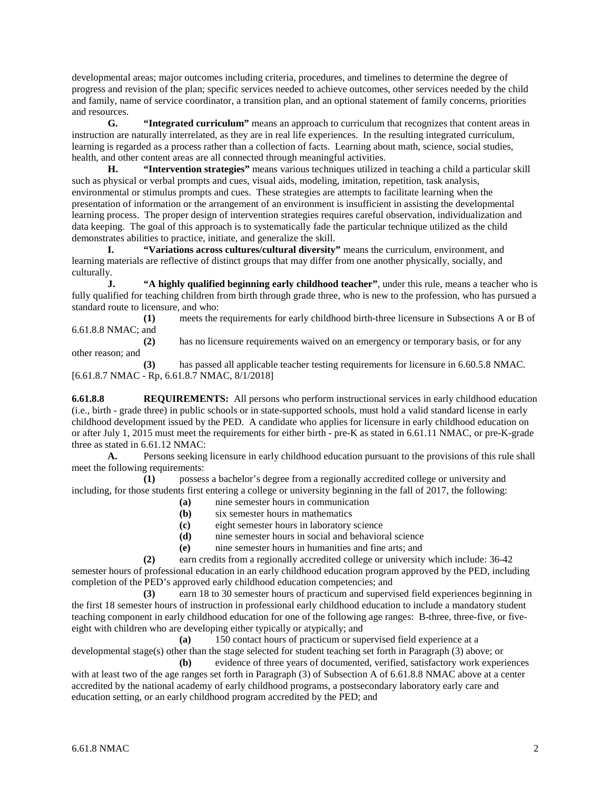developmental areas; major outcomes including criteria, procedures, and timelines to determine the degree of progress and revision of the plan; specific services needed to achieve outcomes, other services needed by the child and family, name of service coordinator, a transition plan, and an optional statement of family concerns, priorities and resources.

**G. "Integrated curriculum"** means an approach to curriculum that recognizes that content areas in instruction are naturally interrelated, as they are in real life experiences. In the resulting integrated curriculum, learning is regarded as a process rather than a collection of facts. Learning about math, science, social studies, health, and other content areas are all connected through meaningful activities.

**H. "Intervention strategies"** means various techniques utilized in teaching a child a particular skill such as physical or verbal prompts and cues, visual aids, modeling, imitation, repetition, task analysis, environmental or stimulus prompts and cues. These strategies are attempts to facilitate learning when the presentation of information or the arrangement of an environment is insufficient in assisting the developmental learning process. The proper design of intervention strategies requires careful observation, individualization and data keeping. The goal of this approach is to systematically fade the particular technique utilized as the child demonstrates abilities to practice, initiate, and generalize the skill.

**I. "Variations across cultures/cultural diversity"** means the curriculum, environment, and learning materials are reflective of distinct groups that may differ from one another physically, socially, and culturally.

**J. "A highly qualified beginning early childhood teacher"**, under this rule, means a teacher who is fully qualified for teaching children from birth through grade three, who is new to the profession, who has pursued a standard route to licensure, and who:

**(1)** meets the requirements for early childhood birth-three licensure in Subsections A or B of 6.61.8.8 NMAC; and

**(2)** has no licensure requirements waived on an emergency or temporary basis, or for any other reason; and

**(3)** has passed all applicable teacher testing requirements for licensure in 6.60.5.8 NMAC. [6.61.8.7 NMAC - Rp, 6.61.8.7 NMAC, 8/1/2018]

**6.61.8.8 REQUIREMENTS:** All persons who perform instructional services in early childhood education (i.e., birth - grade three) in public schools or in state-supported schools, must hold a valid standard license in early childhood development issued by the PED. A candidate who applies for licensure in early childhood education on or after July 1, 2015 must meet the requirements for either birth - pre-K as stated in 6.61.11 NMAC, or pre-K-grade three as stated in 6.61.12 NMAC:

**A.** Persons seeking licensure in early childhood education pursuant to the provisions of this rule shall meet the following requirements:

**(1)** possess a bachelor's degree from a regionally accredited college or university and including, for those students first entering a college or university beginning in the fall of 2017, the following:

- **(a)** nine semester hours in communication
- **(b)** six semester hours in mathematics
- **(c)** eight semester hours in laboratory science
- **(d)** nine semester hours in social and behavioral science
- **(e)** nine semester hours in humanities and fine arts; and

**(2)** earn credits from a regionally accredited college or university which include: 36-42 semester hours of professional education in an early childhood education program approved by the PED, including completion of the PED's approved early childhood education competencies; and

**(3)** earn 18 to 30 semester hours of practicum and supervised field experiences beginning in the first 18 semester hours of instruction in professional early childhood education to include a mandatory student teaching component in early childhood education for one of the following age ranges: B-three, three-five, or fiveeight with children who are developing either typically or atypically; and

**(a)** 150 contact hours of practicum or supervised field experience at a developmental stage(s) other than the stage selected for student teaching set forth in Paragraph (3) above; or **(b)** evidence of three years of documented, verified, satisfactory work experiences

with at least two of the age ranges set forth in Paragraph (3) of Subsection A of 6.61.8.8 NMAC above at a center accredited by the national academy of early childhood programs, a postsecondary laboratory early care and education setting, or an early childhood program accredited by the PED; and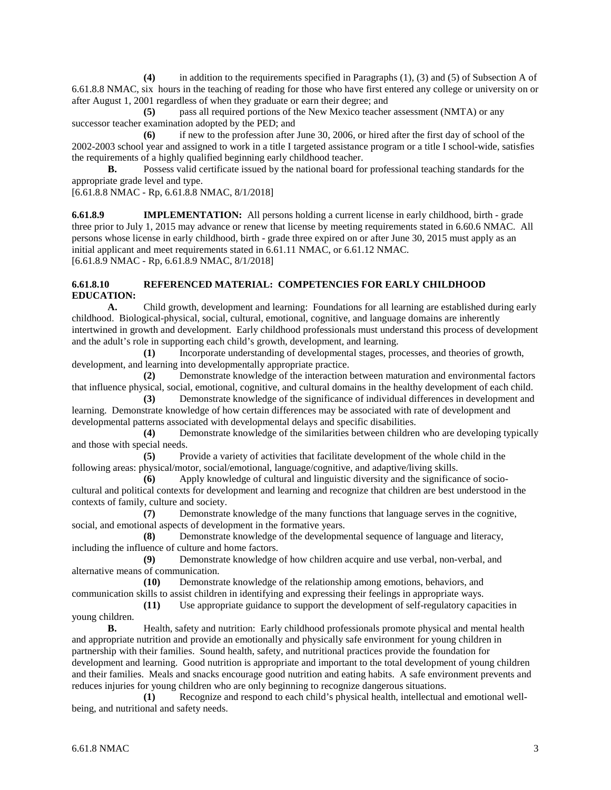**(4)** in addition to the requirements specified in Paragraphs (1), (3) and (5) of Subsection A of 6.61.8.8 NMAC, six hours in the teaching of reading for those who have first entered any college or university on or after August 1, 2001 regardless of when they graduate or earn their degree; and

**(5)** pass all required portions of the New Mexico teacher assessment (NMTA) or any successor teacher examination adopted by the PED; and

**(6)** if new to the profession after June 30, 2006, or hired after the first day of school of the 2002-2003 school year and assigned to work in a title I targeted assistance program or a title I school-wide, satisfies the requirements of a highly qualified beginning early childhood teacher.

**B.** Possess valid certificate issued by the national board for professional teaching standards for the appropriate grade level and type.

[6.61.8.8 NMAC - Rp, 6.61.8.8 NMAC, 8/1/2018]

**6.61.8.9 IMPLEMENTATION:** All persons holding a current license in early childhood, birth - grade three prior to July 1, 2015 may advance or renew that license by meeting requirements stated in 6.60.6 NMAC. All persons whose license in early childhood, birth - grade three expired on or after June 30, 2015 must apply as an initial applicant and meet requirements stated in 6.61.11 NMAC, or 6.61.12 NMAC. [6.61.8.9 NMAC - Rp, 6.61.8.9 NMAC, 8/1/2018]

### **6.61.8.10 REFERENCED MATERIAL: COMPETENCIES FOR EARLY CHILDHOOD EDUCATION:**

**A.** Child growth, development and learning: Foundations for all learning are established during early childhood. Biological-physical, social, cultural, emotional, cognitive, and language domains are inherently intertwined in growth and development. Early childhood professionals must understand this process of development and the adult's role in supporting each child's growth, development, and learning.

**(1)** Incorporate understanding of developmental stages, processes, and theories of growth, development, and learning into developmentally appropriate practice.

**(2)** Demonstrate knowledge of the interaction between maturation and environmental factors that influence physical, social, emotional, cognitive, and cultural domains in the healthy development of each child.

**(3)** Demonstrate knowledge of the significance of individual differences in development and learning. Demonstrate knowledge of how certain differences may be associated with rate of development and developmental patterns associated with developmental delays and specific disabilities.

**(4)** Demonstrate knowledge of the similarities between children who are developing typically and those with special needs.

**(5)** Provide a variety of activities that facilitate development of the whole child in the following areas: physical/motor, social/emotional, language/cognitive, and adaptive/living skills.

**(6)** Apply knowledge of cultural and linguistic diversity and the significance of sociocultural and political contexts for development and learning and recognize that children are best understood in the contexts of family, culture and society.

**(7)** Demonstrate knowledge of the many functions that language serves in the cognitive, social, and emotional aspects of development in the formative years.

**(8)** Demonstrate knowledge of the developmental sequence of language and literacy, including the influence of culture and home factors.

**(9)** Demonstrate knowledge of how children acquire and use verbal, non-verbal, and alternative means of communication.

**(10)** Demonstrate knowledge of the relationship among emotions, behaviors, and communication skills to assist children in identifying and expressing their feelings in appropriate ways.

**(11)** Use appropriate guidance to support the development of self-regulatory capacities in young children.

**B.** Health, safety and nutrition: Early childhood professionals promote physical and mental health and appropriate nutrition and provide an emotionally and physically safe environment for young children in partnership with their families. Sound health, safety, and nutritional practices provide the foundation for development and learning. Good nutrition is appropriate and important to the total development of young children and their families. Meals and snacks encourage good nutrition and eating habits. A safe environment prevents and reduces injuries for young children who are only beginning to recognize dangerous situations.<br>(1) Recognize and respond to each child's physical health, intellectual

Recognize and respond to each child's physical health, intellectual and emotional wellbeing, and nutritional and safety needs.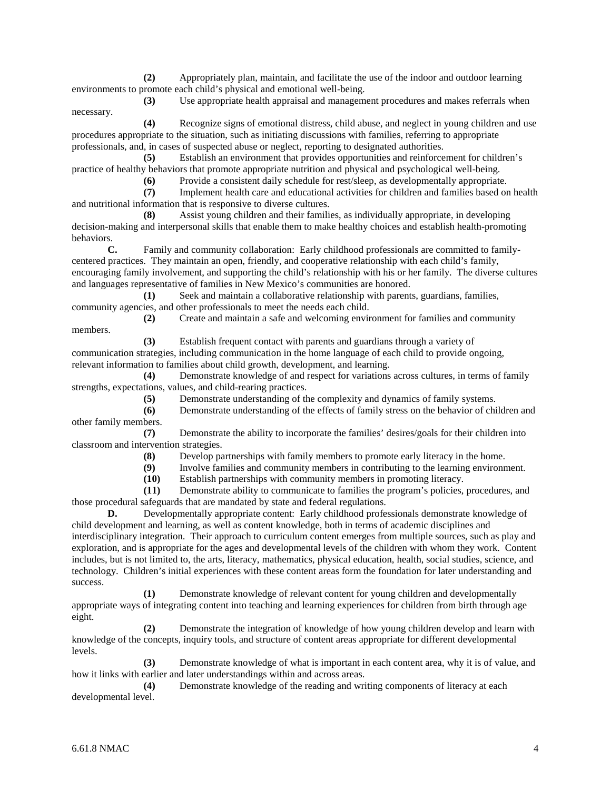**(2)** Appropriately plan, maintain, and facilitate the use of the indoor and outdoor learning environments to promote each child's physical and emotional well-being.

**(3)** Use appropriate health appraisal and management procedures and makes referrals when necessary.

**(4)** Recognize signs of emotional distress, child abuse, and neglect in young children and use procedures appropriate to the situation, such as initiating discussions with families, referring to appropriate professionals, and, in cases of suspected abuse or neglect, reporting to designated authorities.

**(5)** Establish an environment that provides opportunities and reinforcement for children's practice of healthy behaviors that promote appropriate nutrition and physical and psychological well-being.

(6) Provide a consistent daily schedule for rest/sleep, as developmentally appropriate.<br>
(7) Implement health care and educational activities for children and families based or

**(7)** Implement health care and educational activities for children and families based on health and nutritional information that is responsive to diverse cultures.

**(8)** Assist young children and their families, as individually appropriate, in developing decision-making and interpersonal skills that enable them to make healthy choices and establish health-promoting behaviors.

**C.** Family and community collaboration: Early childhood professionals are committed to familycentered practices. They maintain an open, friendly, and cooperative relationship with each child's family, encouraging family involvement, and supporting the child's relationship with his or her family. The diverse cultures and languages representative of families in New Mexico's communities are honored.

**(1)** Seek and maintain a collaborative relationship with parents, guardians, families, community agencies, and other professionals to meet the needs each child.

**(2)** Create and maintain a safe and welcoming environment for families and community members.

**(3)** Establish frequent contact with parents and guardians through a variety of communication strategies, including communication in the home language of each child to provide ongoing, relevant information to families about child growth, development, and learning.

**(4)** Demonstrate knowledge of and respect for variations across cultures, in terms of family strengths, expectations, values, and child-rearing practices.

**(5)** Demonstrate understanding of the complexity and dynamics of family systems.

**(6)** Demonstrate understanding of the effects of family stress on the behavior of children and other family members.

**(7)** Demonstrate the ability to incorporate the families' desires/goals for their children into classroom and intervention strategies.

**(8)** Develop partnerships with family members to promote early literacy in the home.

Involve families and community members in contributing to the learning environment.

**(10)** Establish partnerships with community members in promoting literacy.

**(11)** Demonstrate ability to communicate to families the program's policies, procedures, and those procedural safeguards that are mandated by state and federal regulations.

**D.** Developmentally appropriate content: Early childhood professionals demonstrate knowledge of child development and learning, as well as content knowledge, both in terms of academic disciplines and interdisciplinary integration. Their approach to curriculum content emerges from multiple sources, such as play and exploration, and is appropriate for the ages and developmental levels of the children with whom they work. Content includes, but is not limited to, the arts, literacy, mathematics, physical education, health, social studies, science, and technology. Children's initial experiences with these content areas form the foundation for later understanding and success.

**(1)** Demonstrate knowledge of relevant content for young children and developmentally appropriate ways of integrating content into teaching and learning experiences for children from birth through age eight.

**(2)** Demonstrate the integration of knowledge of how young children develop and learn with knowledge of the concepts, inquiry tools, and structure of content areas appropriate for different developmental levels.

**(3)** Demonstrate knowledge of what is important in each content area, why it is of value, and how it links with earlier and later understandings within and across areas.

**(4)** Demonstrate knowledge of the reading and writing components of literacy at each developmental level.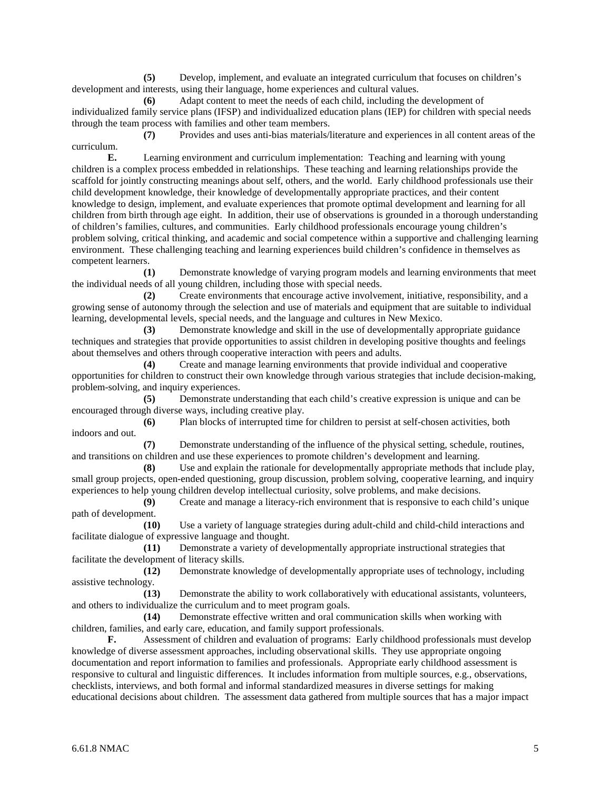**(5)** Develop, implement, and evaluate an integrated curriculum that focuses on children's development and interests, using their language, home experiences and cultural values.

**(6)** Adapt content to meet the needs of each child, including the development of individualized family service plans (IFSP) and individualized education plans (IEP) for children with special needs through the team process with families and other team members.

**(7)** Provides and uses anti-bias materials/literature and experiences in all content areas of the curriculum.

**E.** Learning environment and curriculum implementation: Teaching and learning with young children is a complex process embedded in relationships. These teaching and learning relationships provide the scaffold for jointly constructing meanings about self, others, and the world. Early childhood professionals use their child development knowledge, their knowledge of developmentally appropriate practices, and their content knowledge to design, implement, and evaluate experiences that promote optimal development and learning for all children from birth through age eight. In addition, their use of observations is grounded in a thorough understanding of children's families, cultures, and communities. Early childhood professionals encourage young children's problem solving, critical thinking, and academic and social competence within a supportive and challenging learning environment. These challenging teaching and learning experiences build children's confidence in themselves as competent learners.

**(1)** Demonstrate knowledge of varying program models and learning environments that meet the individual needs of all young children, including those with special needs.

**(2)** Create environments that encourage active involvement, initiative, responsibility, and a growing sense of autonomy through the selection and use of materials and equipment that are suitable to individual learning, developmental levels, special needs, and the language and cultures in New Mexico.

**(3)** Demonstrate knowledge and skill in the use of developmentally appropriate guidance techniques and strategies that provide opportunities to assist children in developing positive thoughts and feelings about themselves and others through cooperative interaction with peers and adults.

**(4)** Create and manage learning environments that provide individual and cooperative opportunities for children to construct their own knowledge through various strategies that include decision-making, problem-solving, and inquiry experiences.

**(5)** Demonstrate understanding that each child's creative expression is unique and can be encouraged through diverse ways, including creative play.

**(6)** Plan blocks of interrupted time for children to persist at self-chosen activities, both indoors and out.

**(7)** Demonstrate understanding of the influence of the physical setting, schedule, routines, and transitions on children and use these experiences to promote children's development and learning.

**(8)** Use and explain the rationale for developmentally appropriate methods that include play, small group projects, open-ended questioning, group discussion, problem solving, cooperative learning, and inquiry experiences to help young children develop intellectual curiosity, solve problems, and make decisions.

**(9)** Create and manage a literacy-rich environment that is responsive to each child's unique path of development.

**(10)** Use a variety of language strategies during adult-child and child-child interactions and facilitate dialogue of expressive language and thought.

**(11)** Demonstrate a variety of developmentally appropriate instructional strategies that facilitate the development of literacy skills.

**(12)** Demonstrate knowledge of developmentally appropriate uses of technology, including assistive technology.

**(13)** Demonstrate the ability to work collaboratively with educational assistants, volunteers, and others to individualize the curriculum and to meet program goals.

**(14)** Demonstrate effective written and oral communication skills when working with children, families, and early care, education, and family support professionals.

**F.** Assessment of children and evaluation of programs: Early childhood professionals must develop knowledge of diverse assessment approaches, including observational skills. They use appropriate ongoing documentation and report information to families and professionals. Appropriate early childhood assessment is responsive to cultural and linguistic differences. It includes information from multiple sources, e.g., observations, checklists, interviews, and both formal and informal standardized measures in diverse settings for making educational decisions about children. The assessment data gathered from multiple sources that has a major impact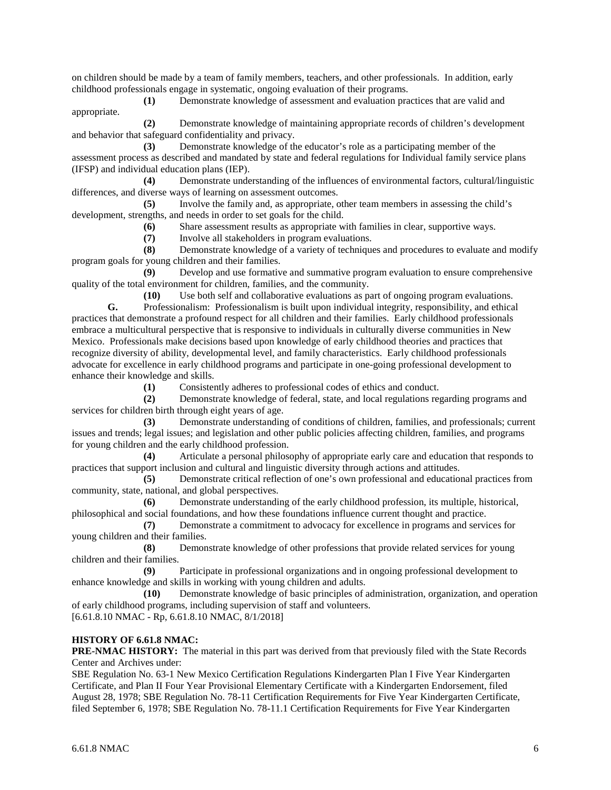on children should be made by a team of family members, teachers, and other professionals. In addition, early childhood professionals engage in systematic, ongoing evaluation of their programs.

**(1)** Demonstrate knowledge of assessment and evaluation practices that are valid and appropriate.

**(2)** Demonstrate knowledge of maintaining appropriate records of children's development and behavior that safeguard confidentiality and privacy.

**(3)** Demonstrate knowledge of the educator's role as a participating member of the assessment process as described and mandated by state and federal regulations for Individual family service plans (IFSP) and individual education plans (IEP).

**(4)** Demonstrate understanding of the influences of environmental factors, cultural/linguistic differences, and diverse ways of learning on assessment outcomes.

**(5)** Involve the family and, as appropriate, other team members in assessing the child's development, strengths, and needs in order to set goals for the child.

**(6)** Share assessment results as appropriate with families in clear, supportive ways.

**(7)** Involve all stakeholders in program evaluations.

**(8)** Demonstrate knowledge of a variety of techniques and procedures to evaluate and modify program goals for young children and their families.

**(9)** Develop and use formative and summative program evaluation to ensure comprehensive quality of the total environment for children, families, and the community.

**(10)** Use both self and collaborative evaluations as part of ongoing program evaluations. **G.** Professionalism: Professionalism is built upon individual integrity, responsibility, and ethical practices that demonstrate a profound respect for all children and their families. Early childhood professionals embrace a multicultural perspective that is responsive to individuals in culturally diverse communities in New Mexico. Professionals make decisions based upon knowledge of early childhood theories and practices that recognize diversity of ability, developmental level, and family characteristics. Early childhood professionals advocate for excellence in early childhood programs and participate in one-going professional development to enhance their knowledge and skills.

**(1)** Consistently adheres to professional codes of ethics and conduct.

**(2)** Demonstrate knowledge of federal, state, and local regulations regarding programs and services for children birth through eight years of age.

**(3)** Demonstrate understanding of conditions of children, families, and professionals; current issues and trends; legal issues; and legislation and other public policies affecting children, families, and programs for young children and the early childhood profession.

**(4)** Articulate a personal philosophy of appropriate early care and education that responds to practices that support inclusion and cultural and linguistic diversity through actions and attitudes.

**(5)** Demonstrate critical reflection of one's own professional and educational practices from community, state, national, and global perspectives.

**(6)** Demonstrate understanding of the early childhood profession, its multiple, historical, philosophical and social foundations, and how these foundations influence current thought and practice.

**(7)** Demonstrate a commitment to advocacy for excellence in programs and services for young children and their families.

**(8)** Demonstrate knowledge of other professions that provide related services for young children and their families.

**(9)** Participate in professional organizations and in ongoing professional development to enhance knowledge and skills in working with young children and adults.

**(10)** Demonstrate knowledge of basic principles of administration, organization, and operation of early childhood programs, including supervision of staff and volunteers. [6.61.8.10 NMAC - Rp, 6.61.8.10 NMAC, 8/1/2018]

## **HISTORY OF 6.61.8 NMAC:**

**PRE-NMAC HISTORY:** The material in this part was derived from that previously filed with the State Records Center and Archives under:

SBE Regulation No. 63-1 New Mexico Certification Regulations Kindergarten Plan I Five Year Kindergarten Certificate, and Plan II Four Year Provisional Elementary Certificate with a Kindergarten Endorsement, filed August 28, 1978; SBE Regulation No. 78-11 Certification Requirements for Five Year Kindergarten Certificate, filed September 6, 1978; SBE Regulation No. 78-11.1 Certification Requirements for Five Year Kindergarten